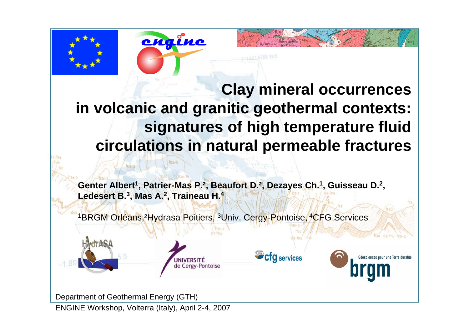



**Genter Albert1, Patrier-Mas P.², Beaufort D.², Dezayes Ch.1, G uisseau D. 2 , Ledesert B. 3, Mas A. 2, Traineau H. 4**

**Cfg** services

<sup>1</sup>BRGM Orléans, <sup>2</sup>Hydrasa Poitiers, <sup>3</sup>Univ. Cergy-Pontoise, <sup>4</sup>CFG Services



engine



Department of Geothermal Energy (GTH)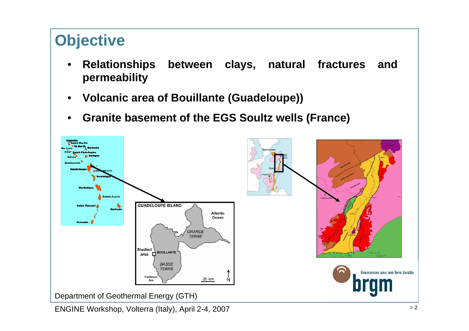## **Objective**

- • **Relationships between clays, natural fractures and permeability**
- •**Volcanic area of Bouillante (Guadeloupe))**
- •**Granite basement of the EGS Soultz wells (France)**

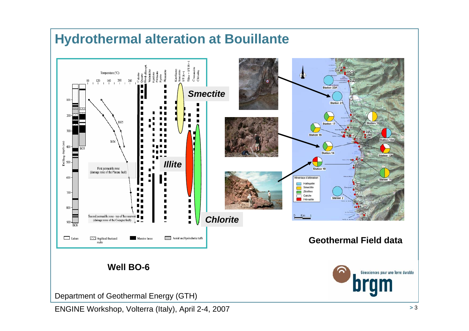## **Hydrothermal alteration at Bouillante**



Department of Geothermal Energy (GTH)